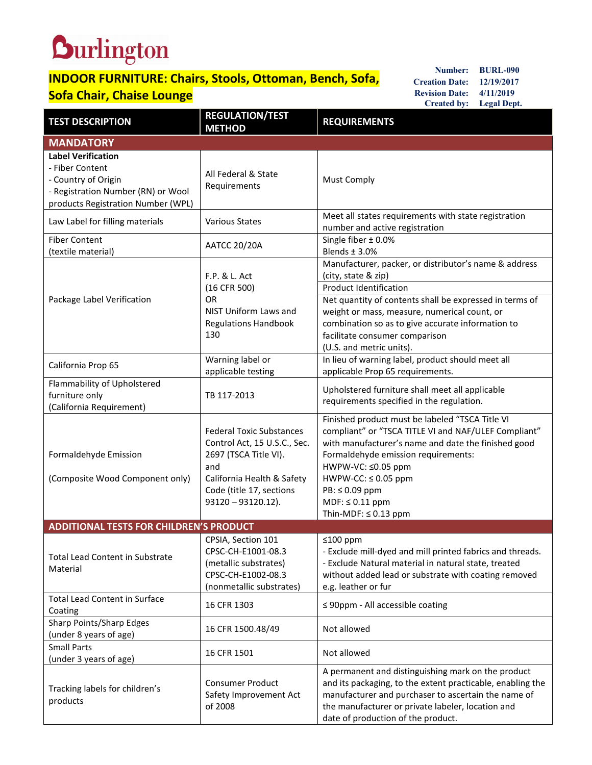## **Durlington**

## **INDOOR FURNITURE: Chairs, Stools, Ottoman, Bench, Sofa, Sofa Chair, Chaise Lounge**

**Number: BURL-090 Creation Date: 12/19/2017 Revision Date: 4/11/2019 Created by: Legal Dept.**

| <b>TEST DESCRIPTION</b>                                                                                                                         | <b>REGULATION/TEST</b><br><b>METHOD</b>                                                                                                                                            | <b>REQUIREMENTS</b>                                                                                                                                                                                                                                                                                                                         |  |
|-------------------------------------------------------------------------------------------------------------------------------------------------|------------------------------------------------------------------------------------------------------------------------------------------------------------------------------------|---------------------------------------------------------------------------------------------------------------------------------------------------------------------------------------------------------------------------------------------------------------------------------------------------------------------------------------------|--|
| <b>MANDATORY</b>                                                                                                                                |                                                                                                                                                                                    |                                                                                                                                                                                                                                                                                                                                             |  |
| <b>Label Verification</b><br>- Fiber Content<br>- Country of Origin<br>- Registration Number (RN) or Wool<br>products Registration Number (WPL) | All Federal & State<br>Requirements                                                                                                                                                | <b>Must Comply</b>                                                                                                                                                                                                                                                                                                                          |  |
| Law Label for filling materials                                                                                                                 | <b>Various States</b>                                                                                                                                                              | Meet all states requirements with state registration<br>number and active registration                                                                                                                                                                                                                                                      |  |
| <b>Fiber Content</b><br>(textile material)                                                                                                      | <b>AATCC 20/20A</b>                                                                                                                                                                | Single fiber ± 0.0%<br>Blends $±$ 3.0%                                                                                                                                                                                                                                                                                                      |  |
| Package Label Verification                                                                                                                      | F.P. & L. Act<br>(16 CFR 500)<br><b>OR</b><br><b>NIST Uniform Laws and</b><br><b>Regulations Handbook</b><br>130                                                                   | Manufacturer, packer, or distributor's name & address<br>(city, state & zip)<br><b>Product Identification</b><br>Net quantity of contents shall be expressed in terms of<br>weight or mass, measure, numerical count, or<br>combination so as to give accurate information to<br>facilitate consumer comparison<br>(U.S. and metric units). |  |
| California Prop 65                                                                                                                              | Warning label or<br>applicable testing                                                                                                                                             | In lieu of warning label, product should meet all<br>applicable Prop 65 requirements.                                                                                                                                                                                                                                                       |  |
| Flammability of Upholstered<br>furniture only<br>(California Requirement)                                                                       | TB 117-2013                                                                                                                                                                        | Upholstered furniture shall meet all applicable<br>requirements specified in the regulation.                                                                                                                                                                                                                                                |  |
| Formaldehyde Emission<br>(Composite Wood Component only)                                                                                        | <b>Federal Toxic Substances</b><br>Control Act, 15 U.S.C., Sec.<br>2697 (TSCA Title VI).<br>and<br>California Health & Safety<br>Code (title 17, sections<br>$93120 - 93120.12$ ). | Finished product must be labeled "TSCA Title VI<br>compliant" or "TSCA TITLE VI and NAF/ULEF Compliant"<br>with manufacturer's name and date the finished good<br>Formaldehyde emission requirements:<br>HWPW-VC: ≤0.05 ppm<br>$HWPW-CC: \leq 0.05$ ppm<br>$PB: \leq 0.09$ ppm<br>$MDF: \leq 0.11$ ppm<br>Thin-MDF: $\leq$ 0.13 ppm         |  |
| <b>ADDITIONAL TESTS FOR CHILDREN'S PRODUCT</b>                                                                                                  |                                                                                                                                                                                    |                                                                                                                                                                                                                                                                                                                                             |  |
| <b>Total Lead Content in Substrate</b><br>Material                                                                                              | CPSIA, Section 101<br>CPSC-CH-E1001-08.3<br>(metallic substrates)<br>CPSC-CH-E1002-08.3<br>(nonmetallic substrates)                                                                | ≤100 ppm<br>- Exclude mill-dyed and mill printed fabrics and threads.<br>- Exclude Natural material in natural state, treated<br>without added lead or substrate with coating removed<br>e.g. leather or fur                                                                                                                                |  |
| <b>Total Lead Content in Surface</b><br>Coating                                                                                                 | 16 CFR 1303                                                                                                                                                                        | $\leq$ 90ppm - All accessible coating                                                                                                                                                                                                                                                                                                       |  |
| Sharp Points/Sharp Edges<br>(under 8 years of age)                                                                                              | 16 CFR 1500.48/49                                                                                                                                                                  | Not allowed                                                                                                                                                                                                                                                                                                                                 |  |
| <b>Small Parts</b><br>(under 3 years of age)                                                                                                    | 16 CFR 1501                                                                                                                                                                        | Not allowed                                                                                                                                                                                                                                                                                                                                 |  |
| Tracking labels for children's<br>products                                                                                                      | <b>Consumer Product</b><br>Safety Improvement Act<br>of 2008                                                                                                                       | A permanent and distinguishing mark on the product<br>and its packaging, to the extent practicable, enabling the<br>manufacturer and purchaser to ascertain the name of<br>the manufacturer or private labeler, location and<br>date of production of the product.                                                                          |  |